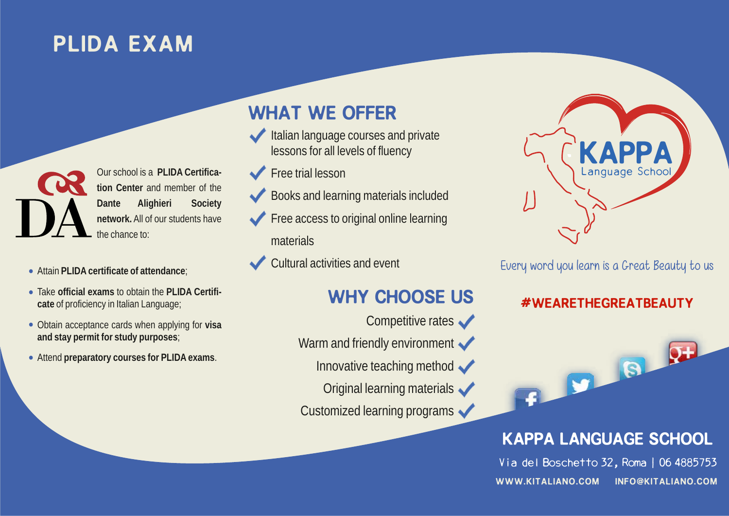# PLIDA EXAM

Our school is a **PLIDA Certification Center** and member of the **Dante Alighieri Society network.** All of our students have the chance to:

- Attain **PLIDA certificate of attendance**;
- Take **official exams** to obtain the **PLIDA Certificate** of proficiency in Italian Language;
- Obtain acceptance cards when applying for **visa and stay permit for study purposes**;
- Attend **preparatory courses for PLIDA exams**.

## WHAT WE OFFER

- Italian language courses and private lessons for all levels of fluency
- Free trial lesson
- Books and learning materials included
- Free access to original online learning materials
- Cultural activities and event

### WHY CHOOSE US

- Competitive rates
- Warm and friendly environment  $\blacktriangleright$ 
	- Innovative teaching method
	- Original learning materials

Customized learning programs



Every word you learn is a Great Beauty to us

### #WEARETHEGREATBEAUTY



## Kappa Language School

Via del Boschetto 32, Roma | 06 4885753 www.kitaliano.com info@kitaliano.com